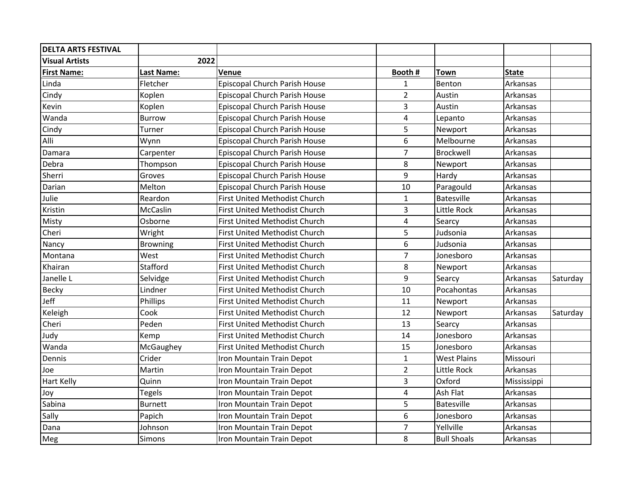| <b>DELTA ARTS FESTIVAL</b> |                   |                                      |                |                    |              |          |
|----------------------------|-------------------|--------------------------------------|----------------|--------------------|--------------|----------|
| <b>Visual Artists</b>      | 2022              |                                      |                |                    |              |          |
| <b>First Name:</b>         | <b>Last Name:</b> | Venue                                | Booth #        | <b>Town</b>        | <b>State</b> |          |
| Linda                      | Fletcher          | Episcopal Church Parish House        | $\mathbf{1}$   | Benton             | Arkansas     |          |
| Cindy                      | Koplen            | Episcopal Church Parish House        | $\overline{2}$ | Austin             | Arkansas     |          |
| Kevin                      | Koplen            | Episcopal Church Parish House        | 3              | Austin             | Arkansas     |          |
| Wanda                      | <b>Burrow</b>     | Episcopal Church Parish House        | $\overline{4}$ | Lepanto            | Arkansas     |          |
| Cindy                      | Turner            | Episcopal Church Parish House        | 5              | Newport            | Arkansas     |          |
| Alli                       | Wynn              | Episcopal Church Parish House        | 6              | Melbourne          | Arkansas     |          |
| Damara                     | Carpenter         | Episcopal Church Parish House        | $\overline{7}$ | Brockwell          | Arkansas     |          |
| Debra                      | Thompson          | Episcopal Church Parish House        | 8              | Newport            | Arkansas     |          |
| Sherri                     | Groves            | Episcopal Church Parish House        | 9              | Hardy              | Arkansas     |          |
| Darian                     | Melton            | Episcopal Church Parish House        | 10             | Paragould          | Arkansas     |          |
| Julie                      | Reardon           | First United Methodist Church        | $\mathbf{1}$   | Batesville         | Arkansas     |          |
| Kristin                    | McCaslin          | First United Methodist Church        | 3              | Little Rock        | Arkansas     |          |
| Misty                      | Osborne           | <b>First United Methodist Church</b> | 4              | Searcy             | Arkansas     |          |
| Cheri                      | Wright            | First United Methodist Church        | 5              | Judsonia           | Arkansas     |          |
| Nancy                      | <b>Browning</b>   | First United Methodist Church        | 6              | Judsonia           | Arkansas     |          |
| Montana                    | West              | First United Methodist Church        | $\overline{7}$ | Jonesboro          | Arkansas     |          |
| Khairan                    | Stafford          | First United Methodist Church        | 8              | Newport            | Arkansas     |          |
| Janelle L                  | Selvidge          | First United Methodist Church        | 9              | Searcy             | Arkansas     | Saturday |
| Becky                      | Lindner           | First United Methodist Church        | 10             | Pocahontas         | Arkansas     |          |
| Jeff                       | Phillips          | First United Methodist Church        | 11             | Newport            | Arkansas     |          |
| Keleigh                    | Cook              | <b>First United Methodist Church</b> | 12             | Newport            | Arkansas     | Saturday |
| Cheri                      | Peden             | First United Methodist Church        | 13             | Searcy             | Arkansas     |          |
| Judy                       | Kemp              | First United Methodist Church        | 14             | Jonesboro          | Arkansas     |          |
| Wanda                      | McGaughey         | First United Methodist Church        | 15             | Jonesboro          | Arkansas     |          |
| Dennis                     | Crider            | Iron Mountain Train Depot            | $\mathbf{1}$   | <b>West Plains</b> | Missouri     |          |
| Joe                        | Martin            | Iron Mountain Train Depot            | $\overline{2}$ | Little Rock        | Arkansas     |          |
| Hart Kelly                 | Quinn             | Iron Mountain Train Depot            | 3              | Oxford             | Mississippi  |          |
| Joy                        | <b>Tegels</b>     | Iron Mountain Train Depot            | $\overline{4}$ | Ash Flat           | Arkansas     |          |
| Sabina                     | <b>Burnett</b>    | Iron Mountain Train Depot            | 5              | <b>Batesville</b>  | Arkansas     |          |
| Sally                      | Papich            | Iron Mountain Train Depot            | 6              | Jonesboro          | Arkansas     |          |
| Dana                       | Johnson           | Iron Mountain Train Depot            | $\overline{7}$ | Yellville          | Arkansas     |          |
| Meg                        | Simons            | Iron Mountain Train Depot            | 8              | <b>Bull Shoals</b> | Arkansas     |          |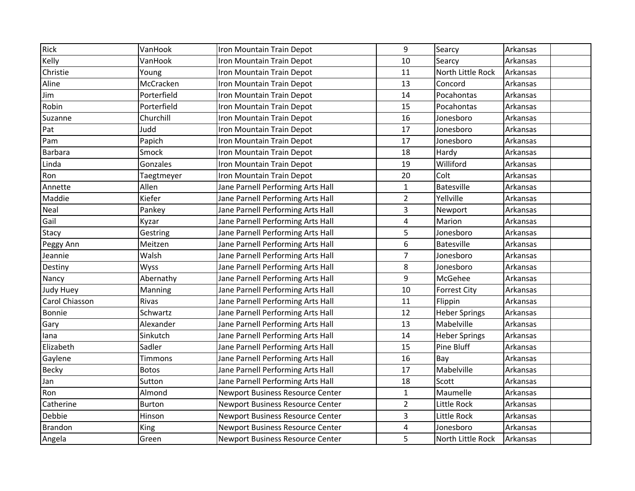| Rick           | VanHook       | Iron Mountain Train Depot         | 9              | Searcy               | Arkansas |
|----------------|---------------|-----------------------------------|----------------|----------------------|----------|
| Kelly          | VanHook       | Iron Mountain Train Depot         | 10             | Searcy               | Arkansas |
| Christie       | Young         | Iron Mountain Train Depot         | 11             | North Little Rock    | Arkansas |
| Aline          | McCracken     | Iron Mountain Train Depot         | 13             | Concord              | Arkansas |
| Jim            | Porterfield   | Iron Mountain Train Depot         | 14             | Pocahontas           | Arkansas |
| Robin          | Porterfield   | Iron Mountain Train Depot         | 15             | Pocahontas           | Arkansas |
| Suzanne        | Churchill     | Iron Mountain Train Depot         | 16             | Jonesboro            | Arkansas |
| Pat            | Judd          | Iron Mountain Train Depot         | 17             | Jonesboro            | Arkansas |
| Pam            | Papich        | Iron Mountain Train Depot         | 17             | Jonesboro            | Arkansas |
| <b>Barbara</b> | Smock         | Iron Mountain Train Depot         | 18             | Hardy                | Arkansas |
| Linda          | Gonzales      | Iron Mountain Train Depot         | 19             | Williford            | Arkansas |
| Ron            | Taegtmeyer    | Iron Mountain Train Depot         | 20             | Colt                 | Arkansas |
| Annette        | Allen         | Jane Parnell Performing Arts Hall | $\mathbf 1$    | Batesville           | Arkansas |
| Maddie         | Kiefer        | Jane Parnell Performing Arts Hall | $\overline{2}$ | Yellville            | Arkansas |
| Neal           | Pankey        | Jane Parnell Performing Arts Hall | 3              | Newport              | Arkansas |
| Gail           | Kyzar         | Jane Parnell Performing Arts Hall | $\overline{4}$ | Marion               | Arkansas |
| Stacy          | Gestring      | Jane Parnell Performing Arts Hall | 5              | Jonesboro            | Arkansas |
| Peggy Ann      | Meitzen       | Jane Parnell Performing Arts Hall | 6              | Batesville           | Arkansas |
| Jeannie        | Walsh         | Jane Parnell Performing Arts Hall | $\overline{7}$ | Jonesboro            | Arkansas |
| Destiny        | Wyss          | Jane Parnell Performing Arts Hall | 8              | Jonesboro            | Arkansas |
| Nancy          | Abernathy     | Jane Parnell Performing Arts Hall | 9              | McGehee              | Arkansas |
| Judy Huey      | Manning       | Jane Parnell Performing Arts Hall | 10             | <b>Forrest City</b>  | Arkansas |
| Carol Chiasson | Rivas         | Jane Parnell Performing Arts Hall | 11             | Flippin              | Arkansas |
| <b>Bonnie</b>  | Schwartz      | Jane Parnell Performing Arts Hall | 12             | <b>Heber Springs</b> | Arkansas |
| Gary           | Alexander     | Jane Parnell Performing Arts Hall | 13             | Mabelville           | Arkansas |
| lana           | Sinkutch      | Jane Parnell Performing Arts Hall | 14             | <b>Heber Springs</b> | Arkansas |
| Elizabeth      | Sadler        | Jane Parnell Performing Arts Hall | 15             | Pine Bluff           | Arkansas |
| Gaylene        | Timmons       | Jane Parnell Performing Arts Hall | 16             | Bay                  | Arkansas |
| Becky          | <b>Botos</b>  | Jane Parnell Performing Arts Hall | 17             | Mabelville           | Arkansas |
| Jan            | Sutton        | Jane Parnell Performing Arts Hall | 18             | Scott                | Arkansas |
| Ron            | Almond        | Newport Business Resource Center  | $\mathbf{1}$   | Maumelle             | Arkansas |
| Catherine      | <b>Burton</b> | Newport Business Resource Center  | $\overline{2}$ | Little Rock          | Arkansas |
| Debbie         | Hinson        | Newport Business Resource Center  | 3              | Little Rock          | Arkansas |
| <b>Brandon</b> | King          | Newport Business Resource Center  | 4              | Jonesboro            | Arkansas |
| Angela         | Green         | Newport Business Resource Center  | 5              | North Little Rock    | Arkansas |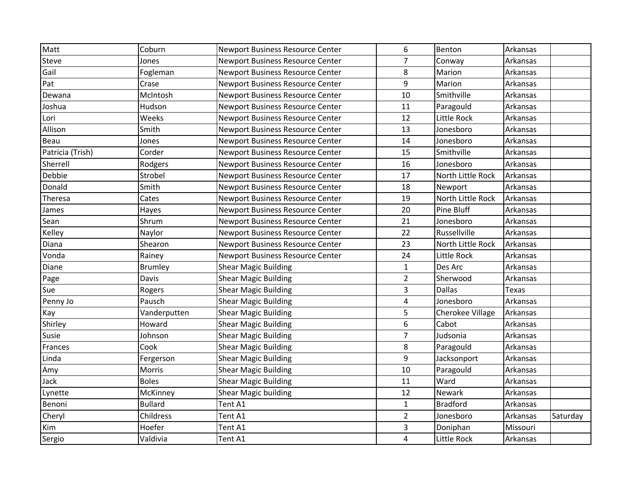| Matt             | Coburn         | <b>Newport Business Resource Center</b> | 6                       | Benton            | Arkansas     |          |
|------------------|----------------|-----------------------------------------|-------------------------|-------------------|--------------|----------|
| Steve            | Jones          | <b>Newport Business Resource Center</b> | $\overline{7}$          | Conway            | Arkansas     |          |
| Gail             | Fogleman       | <b>Newport Business Resource Center</b> | 8                       | Marion            | Arkansas     |          |
| Pat              | Crase          | Newport Business Resource Center        | 9                       | Marion            | Arkansas     |          |
| Dewana           | McIntosh       | Newport Business Resource Center        | 10                      | Smithville        | Arkansas     |          |
| Joshua           | Hudson         | Newport Business Resource Center        | 11                      | Paragould         | Arkansas     |          |
| Lori             | Weeks          | Newport Business Resource Center        | 12                      | Little Rock       | Arkansas     |          |
| Allison          | Smith          | Newport Business Resource Center        | 13                      | Jonesboro         | Arkansas     |          |
| Beau             | Jones          | Newport Business Resource Center        | 14                      | Jonesboro         | Arkansas     |          |
| Patricia (Trish) | Corder         | Newport Business Resource Center        | 15                      | Smithville        | Arkansas     |          |
| Sherrell         | Rodgers        | Newport Business Resource Center        | 16                      | Jonesboro         | Arkansas     |          |
| Debbie           | Strobel        | Newport Business Resource Center        | 17                      | North Little Rock | Arkansas     |          |
| Donald           | Smith          | Newport Business Resource Center        | 18                      | Newport           | Arkansas     |          |
| Theresa          | Cates          | Newport Business Resource Center        | 19                      | North Little Rock | Arkansas     |          |
| James            | Hayes          | Newport Business Resource Center        | 20                      | Pine Bluff        | Arkansas     |          |
| Sean             | Shrum          | <b>Newport Business Resource Center</b> | 21                      | Jonesboro         | Arkansas     |          |
| Kelley           | Naylor         | Newport Business Resource Center        | 22                      | Russellville      | Arkansas     |          |
| Diana            | Shearon        | Newport Business Resource Center        | 23                      | North Little Rock | Arkansas     |          |
| Vonda            | Rainey         | Newport Business Resource Center        | 24                      | Little Rock       | Arkansas     |          |
| Diane            | Brumley        | <b>Shear Magic Building</b>             | $\mathbf{1}$            | Des Arc           | Arkansas     |          |
| Page             | Davis          | <b>Shear Magic Building</b>             | $\overline{2}$          | Sherwood          | Arkansas     |          |
| Sue              | Rogers         | <b>Shear Magic Building</b>             | 3                       | <b>Dallas</b>     | <b>Texas</b> |          |
| Penny Jo         | Pausch         | <b>Shear Magic Building</b>             | $\overline{\mathbf{4}}$ | Jonesboro         | Arkansas     |          |
| Kay              | Vanderputten   | <b>Shear Magic Building</b>             | 5                       | Cherokee Village  | Arkansas     |          |
| Shirley          | Howard         | <b>Shear Magic Building</b>             | 6                       | Cabot             | Arkansas     |          |
| Susie            | Johnson        | <b>Shear Magic Building</b>             | $\overline{7}$          | Judsonia          | Arkansas     |          |
| Frances          | Cook           | <b>Shear Magic Building</b>             | 8                       | Paragould         | Arkansas     |          |
| Linda            | Fergerson      | <b>Shear Magic Building</b>             | $\boldsymbol{9}$        | Jacksonport       | Arkansas     |          |
| Amy              | Morris         | <b>Shear Magic Building</b>             | 10                      | Paragould         | Arkansas     |          |
| Jack             | <b>Boles</b>   | <b>Shear Magic Building</b>             | 11                      | Ward              | Arkansas     |          |
| Lynette          | McKinney       | Shear Magic building                    | 12                      | Newark            | Arkansas     |          |
| Benoni           | <b>Bullard</b> | Tent A1                                 | $\mathbf{1}$            | <b>Bradford</b>   | Arkansas     |          |
| Cheryl           | Childress      | Tent A1                                 | $\overline{2}$          | Jonesboro         | Arkansas     | Saturday |
| Kim              | Hoefer         | Tent A1                                 | 3                       | Doniphan          | Missouri     |          |
| Sergio           | Valdivia       | Tent A1                                 | $\overline{4}$          | Little Rock       | Arkansas     |          |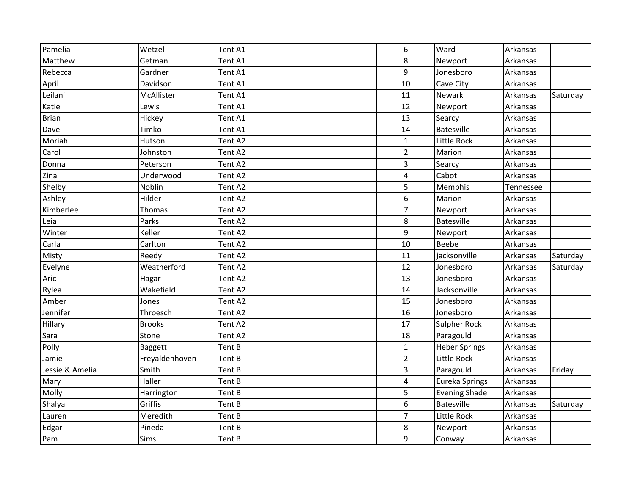| Pamelia         | Wetzel         | Tent A1 | 6              | Ward                 | Arkansas  |          |
|-----------------|----------------|---------|----------------|----------------------|-----------|----------|
| Matthew         | Getman         | Tent A1 | 8              | Newport              | Arkansas  |          |
| Rebecca         | Gardner        | Tent A1 | 9              | Jonesboro            | Arkansas  |          |
| April           | Davidson       | Tent A1 | 10             | Cave City            | Arkansas  |          |
| Leilani         | McAllister     | Tent A1 | 11             | Newark               | Arkansas  | Saturday |
| Katie           | Lewis          | Tent A1 | 12             | Newport              | Arkansas  |          |
| <b>Brian</b>    | Hickey         | Tent A1 | 13             | Searcy               | Arkansas  |          |
| Dave            | Timko          | Tent A1 | 14             | Batesville           | Arkansas  |          |
| Moriah          | Hutson         | Tent A2 | $\mathbf{1}$   | Little Rock          | Arkansas  |          |
| Carol           | Johnston       | Tent A2 | $\overline{2}$ | Marion               | Arkansas  |          |
| Donna           | Peterson       | Tent A2 | 3              | Searcy               | Arkansas  |          |
| Zina            | Underwood      | Tent A2 | $\overline{4}$ | Cabot                | Arkansas  |          |
| Shelby          | Noblin         | Tent A2 | 5              | Memphis              | Tennessee |          |
| Ashley          | Hilder         | Tent A2 | 6              | Marion               | Arkansas  |          |
| Kimberlee       | Thomas         | Tent A2 | $\overline{7}$ | Newport              | Arkansas  |          |
| Leia            | Parks          | Tent A2 | 8              | <b>Batesville</b>    | Arkansas  |          |
| Winter          | Keller         | Tent A2 | 9              | Newport              | Arkansas  |          |
| Carla           | Carlton        | Tent A2 | 10             | Beebe                | Arkansas  |          |
| Misty           | Reedy          | Tent A2 | 11             | jacksonville         | Arkansas  | Saturday |
| Evelyne         | Weatherford    | Tent A2 | 12             | Jonesboro            | Arkansas  | Saturday |
| Aric            | Hagar          | Tent A2 | 13             | Jonesboro            | Arkansas  |          |
| Rylea           | Wakefield      | Tent A2 | 14             | Jacksonville         | Arkansas  |          |
| Amber           | Jones          | Tent A2 | 15             | Jonesboro            | Arkansas  |          |
| Jennifer        | Throesch       | Tent A2 | 16             | Jonesboro            | Arkansas  |          |
| Hillary         | <b>Brooks</b>  | Tent A2 | 17             | <b>Sulpher Rock</b>  | Arkansas  |          |
| Sara            | Stone          | Tent A2 | 18             | Paragould            | Arkansas  |          |
| Polly           | Baggett        | Tent B  | $\mathbf 1$    | <b>Heber Springs</b> | Arkansas  |          |
| Jamie           | Freyaldenhoven | Tent B  | $\overline{2}$ | Little Rock          | Arkansas  |          |
| Jessie & Amelia | Smith          | Tent B  | 3              | Paragould            | Arkansas  | Friday   |
| Mary            | Haller         | Tent B  | $\overline{4}$ | Eureka Springs       | Arkansas  |          |
| Molly           | Harrington     | Tent B  | 5              | <b>Evening Shade</b> | Arkansas  |          |
| Shalya          | Griffis        | Tent B  | 6              | <b>Batesville</b>    | Arkansas  | Saturday |
| Lauren          | Meredith       | Tent B  | $\overline{7}$ | Little Rock          | Arkansas  |          |
| Edgar           | Pineda         | Tent B  | 8              | Newport              | Arkansas  |          |
| Pam             | Sims           | Tent B  | 9              | Conway               | Arkansas  |          |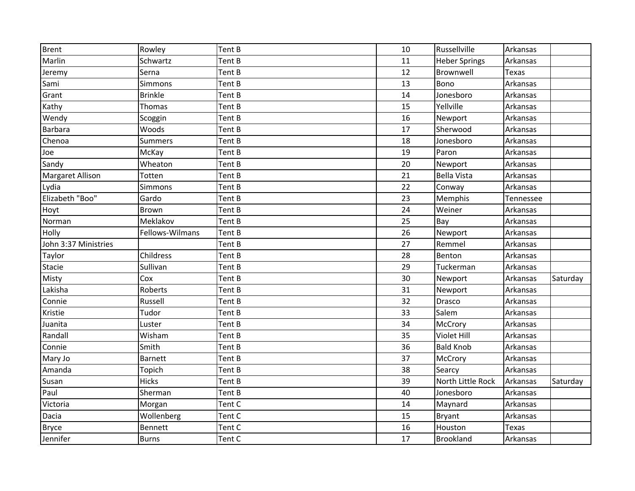| <b>Brent</b>         | Rowley          | Tent B | 10 | Russellville         | Arkansas     |          |
|----------------------|-----------------|--------|----|----------------------|--------------|----------|
| Marlin               | Schwartz        | Tent B | 11 | <b>Heber Springs</b> | Arkansas     |          |
| Jeremy               | Serna           | Tent B | 12 | Brownwell            | <b>Texas</b> |          |
| Sami                 | Simmons         | Tent B | 13 | Bono                 | Arkansas     |          |
| Grant                | <b>Brinkle</b>  | Tent B | 14 | Jonesboro            | Arkansas     |          |
| Kathy                | Thomas          | Tent B | 15 | Yellville            | Arkansas     |          |
| Wendy                | Scoggin         | Tent B | 16 | Newport              | Arkansas     |          |
| Barbara              | Woods           | Tent B | 17 | Sherwood             | Arkansas     |          |
| Chenoa               | <b>Summers</b>  | Tent B | 18 | Jonesboro            | Arkansas     |          |
| Joe                  | McKay           | Tent B | 19 | Paron                | Arkansas     |          |
| Sandy                | Wheaton         | Tent B | 20 | Newport              | Arkansas     |          |
| Margaret Allison     | Totten          | Tent B | 21 | <b>Bella Vista</b>   | Arkansas     |          |
| Lydia                | Simmons         | Tent B | 22 | Conway               | Arkansas     |          |
| Elizabeth "Boo"      | Gardo           | Tent B | 23 | Memphis              | Tennessee    |          |
| Hoyt                 | Brown           | Tent B | 24 | Weiner               | Arkansas     |          |
| Norman               | Meklakov        | Tent B | 25 | Bay                  | Arkansas     |          |
| Holly                | Fellows-Wilmans | Tent B | 26 | Newport              | Arkansas     |          |
| John 3:37 Ministries |                 | Tent B | 27 | Remmel               | Arkansas     |          |
| Taylor               | Childress       | Tent B | 28 | Benton               | Arkansas     |          |
| Stacie               | Sullivan        | Tent B | 29 | Tuckerman            | Arkansas     |          |
| Misty                | Cox             | Tent B | 30 | Newport              | Arkansas     | Saturday |
| Lakisha              | Roberts         | Tent B | 31 | Newport              | Arkansas     |          |
| Connie               | Russell         | Tent B | 32 | Drasco               | Arkansas     |          |
| Kristie              | Tudor           | Tent B | 33 | Salem                | Arkansas     |          |
| Juanita              | Luster          | Tent B | 34 | McCrory              | Arkansas     |          |
| Randall              | Wisham          | Tent B | 35 | Violet Hill          | Arkansas     |          |
| Connie               | Smith           | Tent B | 36 | <b>Bald Knob</b>     | Arkansas     |          |
| Mary Jo              | <b>Barnett</b>  | Tent B | 37 | McCrory              | Arkansas     |          |
| Amanda               | Topich          | Tent B | 38 | Searcy               | Arkansas     |          |
| Susan                | <b>Hicks</b>    | Tent B | 39 | North Little Rock    | Arkansas     | Saturday |
| Paul                 | Sherman         | Tent B | 40 | Jonesboro            | Arkansas     |          |
| Victoria             | Morgan          | Tent C | 14 | Maynard              | Arkansas     |          |
| Dacia                | Wollenberg      | Tent C | 15 | <b>Bryant</b>        | Arkansas     |          |
| <b>Bryce</b>         | <b>Bennett</b>  | Tent C | 16 | Houston              | Texas        |          |
| Jennifer             | <b>Burns</b>    | Tent C | 17 | Brookland            | Arkansas     |          |